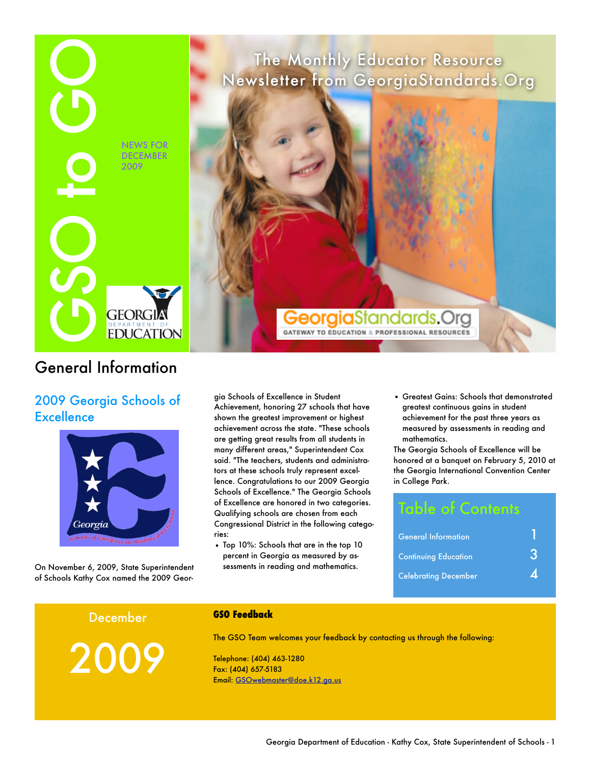

## General Information

## 2009 Georgia Schools of **Excellence**



On November 6, 2009, State Superintendent of Schools Kathy Cox named the 2009 Geor-

gia Schools of Excellence in Student Achievement, honoring 27 schools that have shown the greatest improvement or highest achievement across the state. "These schools are getting great results from all students in many different areas," Superintendent Cox said. "The teachers, students and administrators at these schools truly represent excellence. Congratulations to our 2009 Georgia Schools of Excellence." The Georgia Schools of Excellence are honored in two categories. Qualifying schools are chosen from each Congressional District in the following categories:

• Top 10%: Schools that are in the top 10 percent in Georgia as measured by assessments in reading and mathematics.

• Greatest Gains: Schools that demonstrated greatest continuous gains in student achievement for the past three years as measured by assessments in reading and mathematics.

The Georgia Schools of Excellence will be honored at a banquet on February 5, 2010 at the Georgia International Convention Center in College Park.

# Table of Contents

| <b>General Information</b>  |  |
|-----------------------------|--|
| <b>Continuing Education</b> |  |
| <b>Celebrating December</b> |  |

### December

2009

**GSO Feedback**

The GSO Team welcomes your feedback by contacting us through the following:

Telephone: (404) 463-1280 Fax: (404) 657-5183 Email: [GSOwebmaster@doe.k12.ga.us](mailto:GSOwebmaster@doe.k12.ga.us?subject=New%20GSO%20Site%20Feedback)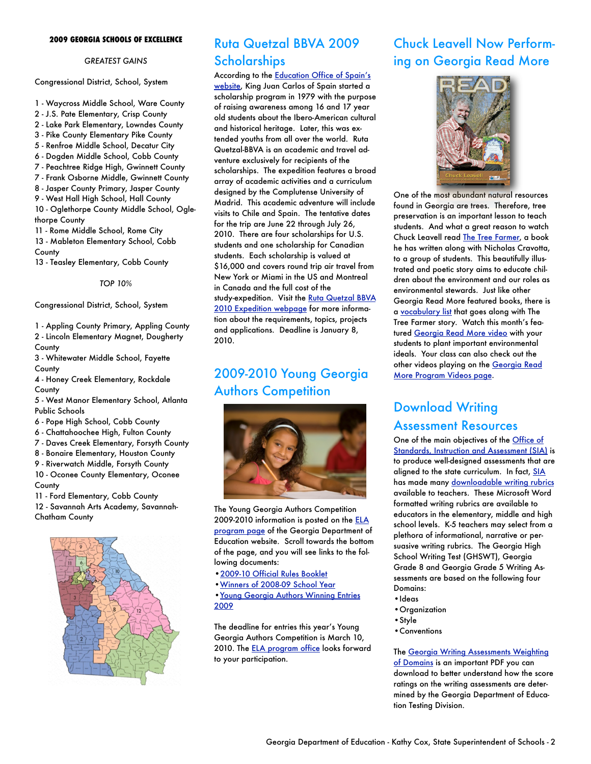### **2009 GEORGIA SCHOOLS OF EXCELLENCE**

### *GREATEST GAINS*

Congressional District, School, System

1 - Waycross Middle School, Ware County

- 2 J.S. Pate Elementary, Crisp County
- 2 Lake Park Elementary, Lowndes County
- 3 Pike County Elementary Pike County
- 5 Renfroe Middle School, Decatur City
- 6 Dogden Middle School, Cobb County
- 7 Peachtree Ridge High, Gwinnett County
- 7 Frank Osborne Middle, Gwinnett County
- 8 Jasper County Primary, Jasper County

9 - West Hall High School, Hall County 10 - Oglethorpe County Middle School, Ogle-

thorpe County 11 - Rome Middle School, Rome City 13 - Mableton Elementary School, Cobb **County** 

13 - Teasley Elementary, Cobb County

*TOP 10%*

Congressional District, School, System

1 - Appling County Primary, Appling County 2 - Lincoln Elementary Magnet, Dougherty **County** 

3 - Whitewater Middle School, Fayette County

4 - Honey Creek Elementary, Rockdale County

5 - West Manor Elementary School, Atlanta Public Schools

- 6 Pope High School, Cobb County
- 6 Chattahoochee High, Fulton County
- 7 Daves Creek Elementary, Forsyth County
- 8 Bonaire Elementary, Houston County
- 9 Riverwatch Middle, Forsyth County
- 10 Oconee County Elementary, Oconee

**County** 

11 - Ford Elementary, Cobb County

12 - Savannah Arts Academy, Savannah-Chatham County



## Ruta Quetzal BBVA 2009 **Scholarships**

According to the **Education Office of Spain's** 

[website](http://www.educacion.es/exterior/usa/en/programs/quetzal/default.shtml), King Juan Carlos of Spain started a scholarship program in 1979 with the purpose of raising awareness among 16 and 17 year old students about the Ibero-American cultural and historical heritage. Later, this was extended youths from all over the world. Ruta Quetzal-BBVA is an academic and travel adventure exclusively for recipients of the scholarships. The expedition features a broad array of academic activities and a curriculum designed by the Complutense University of Madrid. This academic adventure will include visits to Chile and Spain. The tentative dates for the trip are June 22 through July 26, 2010. There are four scholarships for U.S. students and one scholarship for Canadian students. Each scholarship is valued at \$16,000 and covers round trip air travel from New York or Miami in the US and Montreal in Canada and the full cost of the study-expedition. Visit the Ruta Quetzal BBVA [2010 Expedition webpage](http://www.educacion.es/exterior/usa/en/programs/quetzal/default.shtml) for more information about the requirements, topics, projects and applications. Deadline is January 8, 2010.

## 2009-2010 Young Georgia **Authors Competition**



The Young Georgia Authors Competition 2009-2010 information is posted on the **ELA** [program page](http://www.gadoe.org/ci_services.aspx?PageReq=CIServEnglish) of the Georgia Department of Education website. Scroll towards the bottom of the page, and you will see links to the following documents:

- [•2009-10 Official Rules Booklet](http://www.gadoe.org/DMGetDocument.aspx/YGA%202009-10%20pdf.PDF?p=6CC6799F8C1371F68C1F91128BD9DBFB890C2B225124CE1471D2E941B0C3FCBE&Type=D)
- [•Winners of 2008-09 School Year](http://public.doe.k12.ga.us/DMGetDocument.aspx/YGA%20Winners%202009.doc?p=6CC6799F8C1371F60DA3BE96C4CBEA1B7CE99F0346971731C1C5E8767CEBC018&Type=D)

[•Young Georgia Authors Winning Entries](http://public.doe.k12.ga.us/DMGetDocument.aspx/YGA%20%20Winning%20Entries%202009.pdf?p=6CC6799F8C1371F65D48A59E2FAA1DC4027309DC7452091D15DE6FC0F02A4810&Type=D)  [2009](http://public.doe.k12.ga.us/DMGetDocument.aspx/YGA%20%20Winning%20Entries%202009.pdf?p=6CC6799F8C1371F65D48A59E2FAA1DC4027309DC7452091D15DE6FC0F02A4810&Type=D)

The deadline for entries this year's Young Georgia Authors Competition is March 10, 2010. The **ELA** program office looks forward to your participation.

## Chuck Leavell Now Performing on Georgia Read More



One of the most abundant natural resources found in Georgia are trees. Therefore, tree preservation is an important lesson to teach students. And what a great reason to watch Chuck Leavell read [The Tree Farmer](http://tinyurl.com/29mwgk), a book he has written along with Nicholas Cravotta, to a group of students. This beautifully illustrated and poetic story aims to educate children about the environment and our roles as environmental stewards. Just like other Georgia Read More featured books, there is a [vocabulary list](http://public.doe.k12.ga.us/DMGetDocument.aspx/The%20Tree%20Farmer.pdf?p=6CC6799F8C1371F69AC2DC1EEDD51678074735E47A5D89CB961C463540F57541&Type=D) that goes along with The Tree Farmer story. Watch this month's featured [Georgia Read More video](http://tinyurl.com/29mwgk) with your students to plant important environmental ideals. Your class can also check out the other videos playing on the [Georgia Read](http://www.gadoe.org/it.aspx?PageReq=ITReadMore)  [More Program Videos page.](http://www.gadoe.org/it.aspx?PageReq=ITReadMore)

## Download Writing Assessment Resources

One of the main objectives of the **Office of** [Standards, Instruction and Assessment \(SIA\)](http://www.gadoe.org/ci.aspx) is to produce well-designed assessments that are aligned to the state curriculum. In fact, [SIA](http://www.gadoe.org/ci.aspx) has made many [downloadable writing rubrics](http://www.gadoe.org/ci_testing.aspx?folderID=4884&m=links&ft=WA%20Resources) available to teachers. These Microsoft Word formatted writing rubrics are available to educators in the elementary, middle and high school levels. K-5 teachers may select from a plethora of informational, narrative or persuasive writing rubrics. The Georgia High School Writing Test (GHSWT), Georgia Grade 8 and Georgia Grade 5 Writing Assessments are based on the following four Domains:

- •Ideas
- •Organization
- •Style
- •Conventions

The [Georgia Writing Assessments Weighting](http://www.gadoe.org/DMGetDocument.aspx/Domain%20Weights%20for%20Writing%205,8_11.pdf?p=6CC6799F8C1371F6BF893A8E73B7C8F00A371A07973A4AD47D4D9838D9C3FB9A&Type=D)  [of Domains](http://www.gadoe.org/DMGetDocument.aspx/Domain%20Weights%20for%20Writing%205,8_11.pdf?p=6CC6799F8C1371F6BF893A8E73B7C8F00A371A07973A4AD47D4D9838D9C3FB9A&Type=D) is an important PDF you can download to better understand how the score ratings on the writing assessments are determined by the Georgia Department of Education Testing Division.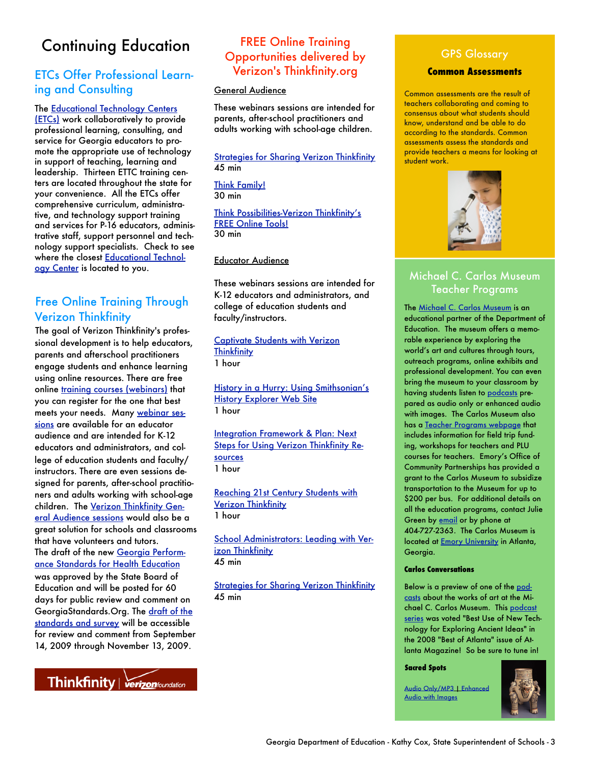# Continuing Education

### ETCs Offer Professional Learning and Consulting

The [Educational Technology Centers](http://public.doe.k12.ga.us/it.aspx?PageReq=ETC)  [\(ETCs\)](http://public.doe.k12.ga.us/it.aspx?PageReq=ETC) work collaboratively to provide professional learning, consulting, and service for Georgia educators to promote the appropriate use of technology in support of teaching, learning and leadership. Thirteen ETTC training centers are located throughout the state for your convenience. All the ETCs offer comprehensive curriculum, administrative, and technology support training and services for P-16 educators, administrative staff, support personnel and technology support specialists. Check to see where the closest [Educational Technol](http://public.doe.k12.ga.us/it.aspx?PageReq=ETC)[ogy Center](http://public.doe.k12.ga.us/it.aspx?PageReq=ETC) is located to you.

### Free Online Training Through Verizon Thinkfinity

The goal of Verizon Thinkfinity's professional development is to help educators, parents and afterschool practitioners engage students and enhance learning using online resources. There are free online [training courses \(webinars\)](http://www.thinkfinity.org/pd/national_training.aspx) that you can register for the one that best meets your needs. Many [webinar ses](http://www.thinkfinity.org/pd/national_training.aspx)[sions](http://www.thinkfinity.org/pd/national_training.aspx) are available for an educator audience and are intended for K-12 educators and administrators, and college of education students and faculty/ instructors. There are even sessions designed for parents, after-school practitioners and adults working with school-age children. The [Verizon Thinkfinity Gen](http://www.thinkfinity.org/pd/national_training.aspx)[eral Audience sessions](http://www.thinkfinity.org/pd/national_training.aspx) would also be a great solution for schools and classrooms that have volunteers and tutors. The draft of the new [Georgia Perform](https://www.georgiastandards.org/standards/Pages/BrowseStandards/HealthEd.aspx)[ance Standards for Health Education](https://www.georgiastandards.org/standards/Pages/BrowseStandards/HealthEd.aspx) was approved by the State Board of Education and will be posted for 60 days for public review and comment on GeorgiaStandards.Org. The [draft of the](https://www.georgiastandards.org/standards/Pages/BrowseStandards/HealthEd.aspx)  [standards and survey](https://www.georgiastandards.org/standards/Pages/BrowseStandards/HealthEd.aspx) will be accessible for review and comment from September 14, 2009 through November 13, 2009.



### FREE Online Training Opportunities delivered by Verizon's Thinkfinity.org

### General Audience

These webinars sessions are intended for parents, after-school practitioners and adults working with school-age children.

[Strategies for Sharing Verizon Thinkfinity](http://tims.thinkfinity.org/CourseSessions/coursespecificregistration.aspx?CourseID=91)  $45$  min

[Think Family!](http://tims.thinkfinity.org/CourseSessions/coursespecificregistration.aspx?CourseID=103) 30 min

[Think Possibilities-Verizon Thinkfinity's](http://tims.thinkfinity.org/CourseSessions/coursespecificregistration.aspx?CourseID=87)  [FREE Online Tools!](http://tims.thinkfinity.org/CourseSessions/coursespecificregistration.aspx?CourseID=87) 30 min

### Educator Audience

These webinars sessions are intended for K-12 educators and administrators, and college of education students and faculty/instructors.

[Captivate Students with Verizon](http://www.thinkfinity.org/pd/national_training.aspx%23)  **[Thinkfinity](http://www.thinkfinity.org/pd/national_training.aspx%23)** 1 hour

[History in a Hurry: Using Smithsonian's](http://tims.thinkfinity.org/CourseSessions/coursespecificregistration.aspx?CourseID=94)  [History Explorer Web Site](http://tims.thinkfinity.org/CourseSessions/coursespecificregistration.aspx?CourseID=94) 1 hour

Integration Framework & Plan: Next [Steps for Using Verizon Thinkfinity Re](http://tims.thinkfinity.org/CourseSessions/coursespecificregistration.aspx?CourseID=93)[sources](http://tims.thinkfinity.org/CourseSessions/coursespecificregistration.aspx?CourseID=93) 1 hour

[Reaching 21st Century Students with](http://tims.thinkfinity.org/CourseSessions/coursespecificregistration.aspx?CourseID=96)  [Verizon Thinkfinity](http://tims.thinkfinity.org/CourseSessions/coursespecificregistration.aspx?CourseID=96) 1 hour

[School Administrators: Leading with Ver](http://tims.thinkfinity.org/CourseSessions/coursespecificregistration.aspx?CourseID=104)[izon Thinkfinity](http://tims.thinkfinity.org/CourseSessions/coursespecificregistration.aspx?CourseID=104)  $45$  min

[Strategies for Sharing Verizon Thinkfinity](http://tims.thinkfinity.org/CourseSessions/coursespecificregistration.aspx?CourseID=91)  $45$  min

### GPS Glossary

### **Common Assessments**

Common assessments are the result of teachers collaborating and coming to consensus about what students should know, understand and be able to do according to the standards. Common assessments assess the standards and provide teachers a means for looking at student work.



### Michael C. Carlos Museum Teacher Programs

The [Michael C. Carlos Museum](http://carlos.emory.edu/) is an educational partner of the Department of Education. The museum offers a memorable experience by exploring the world's art and cultures through tours, outreach programs, online exhibits and professional development. You can even bring the museum to your classroom by having students listen to [podcasts](http://carlos.emory.edu/podcasts) prepared as audio only or enhanced audio with images. The Carlos Museum also has a [Teacher Programs webpage](http://carlos.emory.edu/teacher-programs%23PLU%20Course%20for%20Teachers) that includes information for field trip funding, workshops for teachers and PLU courses for teachers. Emory's Office of Community Partnerships has provided a grant to the Carlos Museum to subsidize transportation to the Museum for up to \$200 per bus. For additional details on all the education programs, contact Julie Green by **email** or by phone at 404-727-2363. The Carlos Museum is located at [Emory University](http://carlos.emory.edu/directions-parking) in Atlanta, Georgia.

### **Carlos Conversations**

Below is a preview of one of the [pod](http://carlos.emory.edu/podcasts)[casts](http://carlos.emory.edu/podcasts) about the works of art at the Michael C. Carlos Museum. This [podcast](http://carlos.emory.edu/podcasts)  [series](http://carlos.emory.edu/podcasts) was voted "Best Use of New Technology for Exploring Ancient Ideas" in the 2008 "Best of Atlanta" issue of Atlanta Magazine! So be sure to tune in!

**Sacred Spots**

[Audio Only/MP3](http://carlos.emory.edu/files/Sacred%20Spots.mp3) | [Enhanced](http://carlos.emory.edu/files/Sacred%20Spots.m4a)  [Audio with Images](http://carlos.emory.edu/files/Sacred%20Spots.m4a)

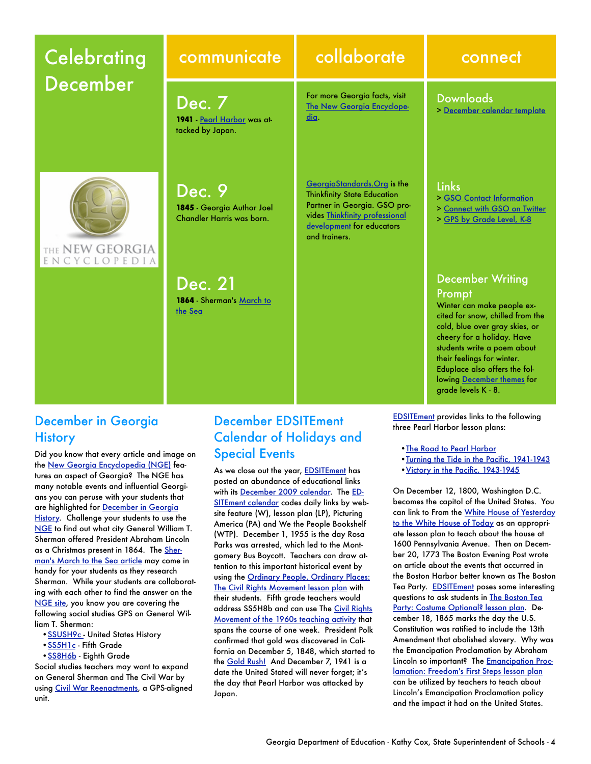# **Celebrating** December

**1941** [Pearl Harbor](http://www.georgiaencyclopedia.org/nge/Article.jsp?id=h-1014&hl=y) was at-

**1845** - Georgia Author Joel Chandler Harris was born.

**1864** - Sherman's [March to](http://www.georgiaencyclopedia.org/nge/Article.jsp?id=h-641&pid=s-46) 

Dec. 7

tacked by Japan.

Dec. 9

Dec. 21

[the](http://www.georgiaencyclopedia.org/nge/Article.jsp?id=h-641&pid=s-46) Sea

# communicate collaborate connect

For more Georgia facts, visit [The New Georgia Encyclope](http://www.georgiaencyclopedia.org/)[dia](http://www.georgiaencyclopedia.org/).

[GeorgiaStandards.Org](https://www.georgiastandards.org/Pages/default.aspx) is the Thinkfinity State Education Partner in Georgia. GSO provides [Thinkfinity professional](http://www.thinkfinity.org/pd/request_training.aspx)  [development](http://www.thinkfinity.org/pd/request_training.aspx) for educators and trainers.

### Downloads

> [December calendar template](http://www.georgiastandards.org/Documents/GSO-to-GO-December-2009-Calendar-Template.doc)

### Links

- > [GSO Contact Information](https://www.georgiastandards.org/Pages/ContactUs/contactus.aspx)
- > [Connect with GSO on Twitter](http://twitter.com/gastandardsorg)
- > [GPS by Grade Level, K-8](http://www.georgiastandards.org/standards/Pages/BrowseStandards/GPS_by_Grade_Level_K-8.aspx)

### December Writing Prompt

Winter can make people excited for snow, chilled from the cold, blue over gray skies, or cheery for a holiday. Have students write a poem about their feelings for winter. Eduplace also offers the follo[wing December them](http://www.eduplace.com/monthlytheme/)es for grade levels K - 8.

December in Georgia **History** 

THE NEW GEORGIA ENCYCLOPEDIA

Did you know that every article and image on the [New Georgia Encyclopedia \(NGE\)](http://www.georgiaencyclopedia.org/nge/Home.jsp) features an aspect of Georgia? The [NGE](http://www.georgiaencyclopedia.org/nge/Home.jsp) has many notable events and influential Georgians you can peruse with your students that are highlighted for [December in Georgia](http://www.georgiaencyclopedia.org/nge/Feature.jsp?id=s-46&hl=y)  [History](http://www.georgiaencyclopedia.org/nge/Feature.jsp?id=s-46&hl=y). Challenge your students to use the [NGE](http://www.georgiaencyclopedia.org/nge/Home.jsp) to find out what city General William T. Sherman offered President Abraham Lincoln as a Christmas present in 1864. The [Sher](http://www.georgiaencyclopedia.org/nge/Article.jsp?id=h-641&pid=s-46)[man's March to the Sea article](http://www.georgiaencyclopedia.org/nge/Article.jsp?id=h-641&pid=s-46) may come in handy for your students as they research Sherman. While your students are collaborating with each other to find the answer on the [NGE site](http://www.georgiaencyclopedia.org/nge/Home.jsp), you know you are covering the following social studies GPS on General William T. Sherman:

- SSUSH9c United States History
- [•SS5H1c](https://www.georgiastandards.org/_layouts/GeorgiaStandards/Unitbuilder/SearchResults.aspx?viewmode=details&StandardIDSelected=688) Fifth Grade
- **SS8H6b** Eighth Grade

Social studies teachers may want to expand on General Sherman and The Civil War by using [Civil War Reenactments,](http://public.doe.k12.ga.us/DWPreview.aspx?WID=87&obj=44726&mode=1) a GPS-aligned unit.

## December EDSITEment Calendar of Holidays and Special Events

As we close out the year, [EDSITEment](http://edsitement.neh.gov/) has posted an abundance of educational links with its [December 2009 calendar](http://edsitement.neh.gov/calendar.asp?date=12/1/2009). The [ED-](http://edsitement.neh.gov/)[SITEment calendar](http://edsitement.neh.gov/) codes daily links by website feature (W), lesson plan (LP), Picturing America (PA) and We the People Bookshelf (WTP). December 1, 1955 is the day Rosa Parks was arrested, which led to the Montgomery Bus Boycott. Teachers can draw attention to this important historical event by using the [Ordinary People, Ordinary Places:](http://edsitement.neh.gov/view_lesson_plan.asp?id=353)  [The Civil Rights Movement lesson plan](http://edsitement.neh.gov/view_lesson_plan.asp?id=353) with their students. Fifth grade teachers would address SS5H8b and can use The [Civil Rights](http://public.doe.k12.ga.us/DWPreview.aspx?WID=88&obj=38624&mode=1)  [Movement of the 1960s teaching activity](http://public.doe.k12.ga.us/DWPreview.aspx?WID=88&obj=38624&mode=1) that spans the course of one week. President Polk confirmed that gold was discovered in California on December 5, 1848, which started to the [Gold Rush!](http://museumca.org/goldrush/) And December 7, 1941 is a date the United Stated will never forget; it's the day that Pearl Harbor was attacked by Japan.

**[EDSITEment](http://edsitement.neh.gov/) provides links to the following** three Pearl Harbor lesson plans:

- •[The Road to Pearl Harbor](http://edsitement.neh.gov/view_lesson_plan.asp?id=748)
- •[Turning the Tide in the Pacific, 1941-1943](http://edsitement.neh.gov/view_lesson_plan.asp?id=654)
- [Victory in the Pacific, 1943-1945](http://edsitement.neh.gov/view_lesson_plan.asp?id=657)

On December 12, 1800, Washington D.C. becomes the capitol of the United States. You can link to From the [White House of Yesterday](http://www.edsitement.neh.gov/view_lesson_plan.asp?ID=463)  [to the White House of Today](http://www.edsitement.neh.gov/view_lesson_plan.asp?ID=463) as an appropriate lesson plan to teach about the house at 1600 Pennsylvania Avenue. Then on December 20, 1773 The Boston Evening Post wrote on article about the events that occurred in the Boston Harbor better known as The Boston Tea Party. **[EDSITEment](http://edsitement.neh.gov/)** poses some interesting questions to ask students in [The Boston Tea](http://edsitement.neh.gov/view_lesson_plan.asp?id=397)  [Party: Costume Optional? lesson plan.](http://edsitement.neh.gov/view_lesson_plan.asp?id=397) December 18, 1865 marks the day the U.S. Constitution was ratified to include the 13th Amendment that abolished slavery. Why was the Emancipation Proclamation by Abraham Lincoln so important? The **Emancipation Proc**[lamation: Freedom's First Steps lesson plan](http://edsitement.neh.gov/view_lesson_plan.asp?id=290) can be utilized by teachers to teach about Lincoln's Emancipation Proclamation policy and the impact it had on the United States.